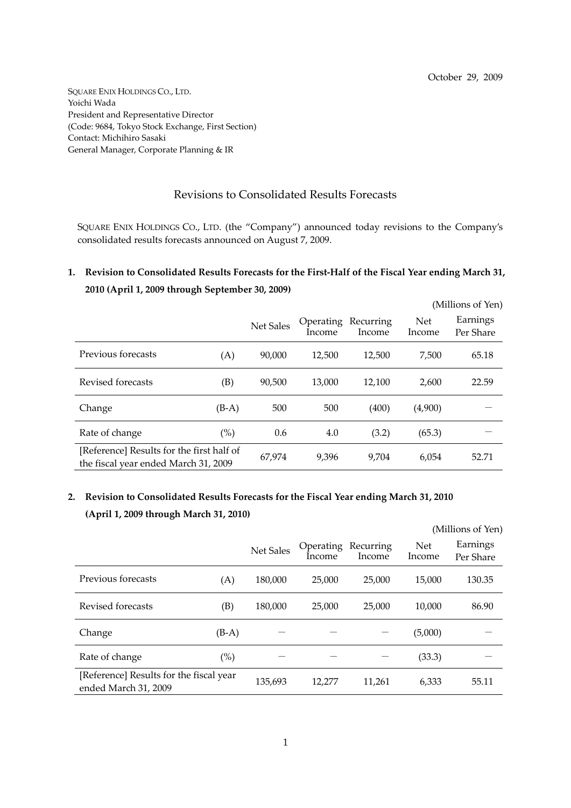SQUARE ENIX HOLDINGS CO., LTD. Yoichi Wada President and Representative Director (Code: 9684, Tokyo Stock Exchange, First Section) Contact: Michihiro Sasaki General Manager, Corporate Planning & IR

## Revisions to Consolidated Results Forecasts

SQUARE ENIX HOLDINGS CO., LTD. (the "Company") announced today revisions to the Company's consolidated results forecasts announced on August 7, 2009.

## 1. Revision to Consolidated Results Forecasts for the First-Half of the Fiscal Year ending March 31, **2010 (April 1, 2009 through September 30, 2009)**

|                                                                                   |         |                  |                     |                     |                      | (Millions of Yen)     |
|-----------------------------------------------------------------------------------|---------|------------------|---------------------|---------------------|----------------------|-----------------------|
|                                                                                   |         | <b>Net Sales</b> | Operating<br>Income | Recurring<br>Income | <b>Net</b><br>Income | Earnings<br>Per Share |
| Previous forecasts                                                                | (A)     | 90,000           | 12,500              | 12,500              | 7,500                | 65.18                 |
| Revised forecasts                                                                 | (B)     | 90,500           | 13,000              | 12,100              | 2,600                | 22.59                 |
| Change                                                                            | $(B-A)$ | 500              | 500                 | (400)               | (4,900)              |                       |
| Rate of change                                                                    | (%)     | 0.6              | 4.0                 | (3.2)               | (65.3)               |                       |
| [Reference] Results for the first half of<br>the fiscal year ended March 31, 2009 |         | 67,974           | 9,396               | 9,704               | 6,054                | 52.71                 |

## **2. Revision to Consolidated Results Forecasts for the Fiscal Year ending March 31, 2010 (April 1, 2009 through March 31, 2010)**

|                                                                 |         |                  |                            |                     | (Millions of Yen) |                       |  |
|-----------------------------------------------------------------|---------|------------------|----------------------------|---------------------|-------------------|-----------------------|--|
|                                                                 |         | <b>Net Sales</b> | <b>Operating</b><br>Income | Recurring<br>Income | Net<br>Income     | Earnings<br>Per Share |  |
| Previous forecasts                                              | (A)     | 180,000          | 25,000                     | 25,000              | 15,000            | 130.35                |  |
| Revised forecasts                                               | (B)     | 180,000          | 25,000                     | 25,000              | 10,000            | 86.90                 |  |
| Change                                                          | $(B-A)$ |                  |                            |                     | (5,000)           |                       |  |
| Rate of change                                                  | $(\%)$  |                  |                            |                     | (33.3)            |                       |  |
| [Reference] Results for the fiscal year<br>ended March 31, 2009 |         | 135,693          | 12,277                     | 11,261              | 6,333             | 55.11                 |  |